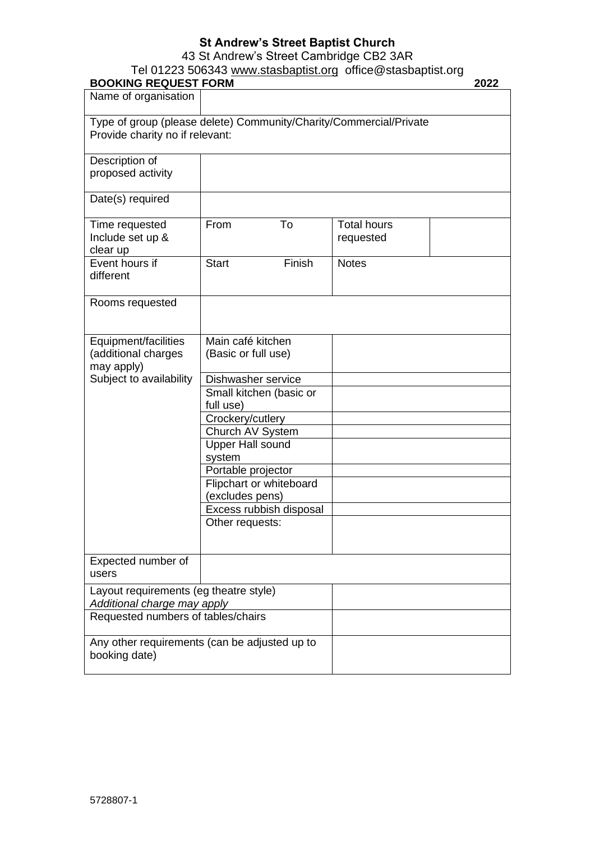# **St Andrew's Street Baptist Church**

43 St Andrew's Street Cambridge CB2 3AR

### Tel 01223 506343 [www.stasbaptist.org](http://www.stasbaptist.org/) office@stasbaptist.org

| <b>BOOKING REQUEST FORM</b>                                           |                                                                    | 2022                            |
|-----------------------------------------------------------------------|--------------------------------------------------------------------|---------------------------------|
| Name of organisation                                                  |                                                                    |                                 |
| Provide charity no if relevant:                                       | Type of group (please delete) Community/Charity/Commercial/Private |                                 |
| Description of<br>proposed activity                                   |                                                                    |                                 |
| Date(s) required                                                      |                                                                    |                                 |
| Time requested<br>Include set up &<br>clear up                        | From<br>To                                                         | <b>Total hours</b><br>requested |
| Event hours if<br>different                                           | <b>Start</b><br>Finish                                             | <b>Notes</b>                    |
| Rooms requested                                                       |                                                                    |                                 |
| Equipment/facilities<br>(additional charges<br>may apply)             | Main café kitchen<br>(Basic or full use)                           |                                 |
| Subject to availability                                               | Dishwasher service<br>Small kitchen (basic or<br>full use)         |                                 |
|                                                                       | Crockery/cutlery<br>Church AV System                               |                                 |
|                                                                       | <b>Upper Hall sound</b><br>system                                  |                                 |
|                                                                       | Portable projector                                                 |                                 |
|                                                                       | Flipchart or whiteboard<br>(excludes pens)                         |                                 |
|                                                                       | Excess rubbish disposal<br>Other requests:                         |                                 |
|                                                                       |                                                                    |                                 |
| Expected number of<br>users                                           |                                                                    |                                 |
| Layout requirements (eg theatre style)<br>Additional charge may apply |                                                                    |                                 |
| Requested numbers of tables/chairs                                    |                                                                    |                                 |
| Any other requirements (can be adjusted up to<br>booking date)        |                                                                    |                                 |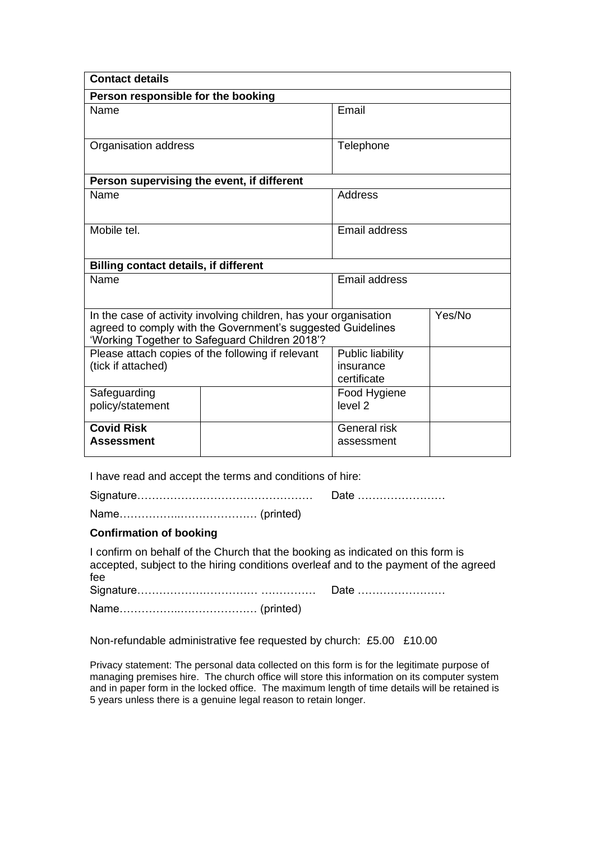| <b>Contact details</b>                                                                                                                                                             |  |                                              |        |  |  |
|------------------------------------------------------------------------------------------------------------------------------------------------------------------------------------|--|----------------------------------------------|--------|--|--|
| Person responsible for the booking                                                                                                                                                 |  |                                              |        |  |  |
| Name                                                                                                                                                                               |  | Email                                        |        |  |  |
| Organisation address                                                                                                                                                               |  | Telephone                                    |        |  |  |
| Person supervising the event, if different                                                                                                                                         |  |                                              |        |  |  |
| Name                                                                                                                                                                               |  | Address                                      |        |  |  |
| Mobile tel.                                                                                                                                                                        |  | <b>Email address</b>                         |        |  |  |
| <b>Billing contact details, if different</b>                                                                                                                                       |  |                                              |        |  |  |
| Name                                                                                                                                                                               |  | Email address                                |        |  |  |
| In the case of activity involving children, has your organisation<br>agreed to comply with the Government's suggested Guidelines<br>'Working Together to Safeguard Children 2018'? |  |                                              | Yes/No |  |  |
| Please attach copies of the following if relevant<br>(tick if attached)                                                                                                            |  | Public liability<br>insurance<br>certificate |        |  |  |
| Safeguarding<br>policy/statement                                                                                                                                                   |  | Food Hygiene<br>level <sub>2</sub>           |        |  |  |
| <b>Covid Risk</b><br><b>Assessment</b>                                                                                                                                             |  | General risk<br>assessment                   |        |  |  |

I have read and accept the terms and conditions of hire:

Signature………………………………………… Date ……………………

Name……………..………………… (printed)

### **Confirmation of booking**

I confirm on behalf of the Church that the booking as indicated on this form is accepted, subject to the hiring conditions overleaf and to the payment of the agreed fee Signature…………………………… …………… Date …………………… Name……………..………………… (printed)

Non-refundable administrative fee requested by church: £5.00 £10.00

Privacy statement: The personal data collected on this form is for the legitimate purpose of managing premises hire. The church office will store this information on its computer system and in paper form in the locked office. The maximum length of time details will be retained is 5 years unless there is a genuine legal reason to retain longer.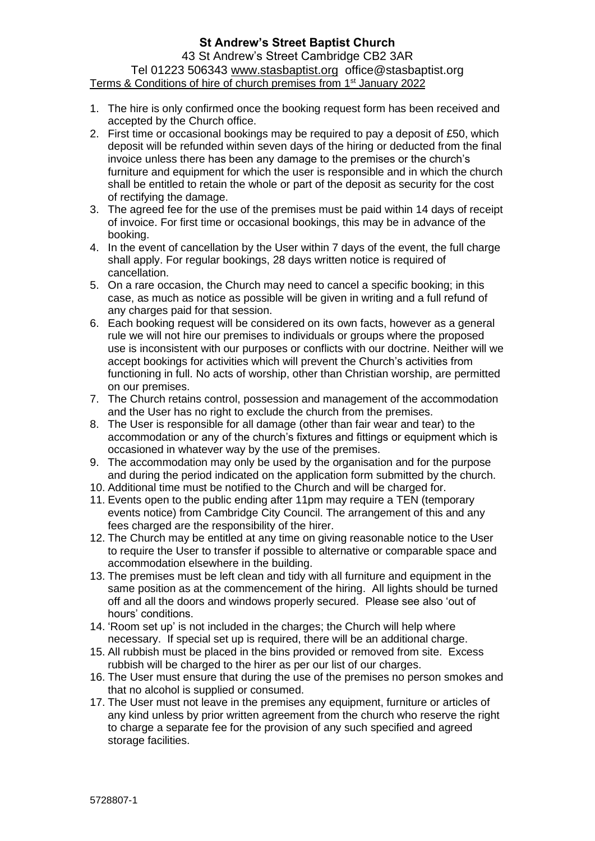## **St Andrew's Street Baptist Church**

43 St Andrew's Street Cambridge CB2 3AR Tel 01223 506343 [www.stasbaptist.org](http://www.stasbaptist.org/) office@stasbaptist.org Terms & Conditions of hire of church premises from 1<sup>st</sup> January 2022

- 1. The hire is only confirmed once the booking request form has been received and accepted by the Church office.
- 2. First time or occasional bookings may be required to pay a deposit of £50, which deposit will be refunded within seven days of the hiring or deducted from the final invoice unless there has been any damage to the premises or the church's furniture and equipment for which the user is responsible and in which the church shall be entitled to retain the whole or part of the deposit as security for the cost of rectifying the damage.
- 3. The agreed fee for the use of the premises must be paid within 14 days of receipt of invoice. For first time or occasional bookings, this may be in advance of the booking.
- 4. In the event of cancellation by the User within 7 days of the event, the full charge shall apply. For regular bookings, 28 days written notice is required of cancellation.
- 5. On a rare occasion, the Church may need to cancel a specific booking; in this case, as much as notice as possible will be given in writing and a full refund of any charges paid for that session.
- 6. Each booking request will be considered on its own facts, however as a general rule we will not hire our premises to individuals or groups where the proposed use is inconsistent with our purposes or conflicts with our doctrine. Neither will we accept bookings for activities which will prevent the Church's activities from functioning in full. No acts of worship, other than Christian worship, are permitted on our premises.
- 7. The Church retains control, possession and management of the accommodation and the User has no right to exclude the church from the premises.
- 8. The User is responsible for all damage (other than fair wear and tear) to the accommodation or any of the church's fixtures and fittings or equipment which is occasioned in whatever way by the use of the premises.
- 9. The accommodation may only be used by the organisation and for the purpose and during the period indicated on the application form submitted by the church.
- 10. Additional time must be notified to the Church and will be charged for.
- 11. Events open to the public ending after 11pm may require a TEN (temporary events notice) from Cambridge City Council. The arrangement of this and any fees charged are the responsibility of the hirer.
- 12. The Church may be entitled at any time on giving reasonable notice to the User to require the User to transfer if possible to alternative or comparable space and accommodation elsewhere in the building.
- 13. The premises must be left clean and tidy with all furniture and equipment in the same position as at the commencement of the hiring. All lights should be turned off and all the doors and windows properly secured. Please see also 'out of hours' conditions.
- 14. 'Room set up' is not included in the charges; the Church will help where necessary. If special set up is required, there will be an additional charge.
- 15. All rubbish must be placed in the bins provided or removed from site. Excess rubbish will be charged to the hirer as per our list of our charges.
- 16. The User must ensure that during the use of the premises no person smokes and that no alcohol is supplied or consumed.
- 17. The User must not leave in the premises any equipment, furniture or articles of any kind unless by prior written agreement from the church who reserve the right to charge a separate fee for the provision of any such specified and agreed storage facilities.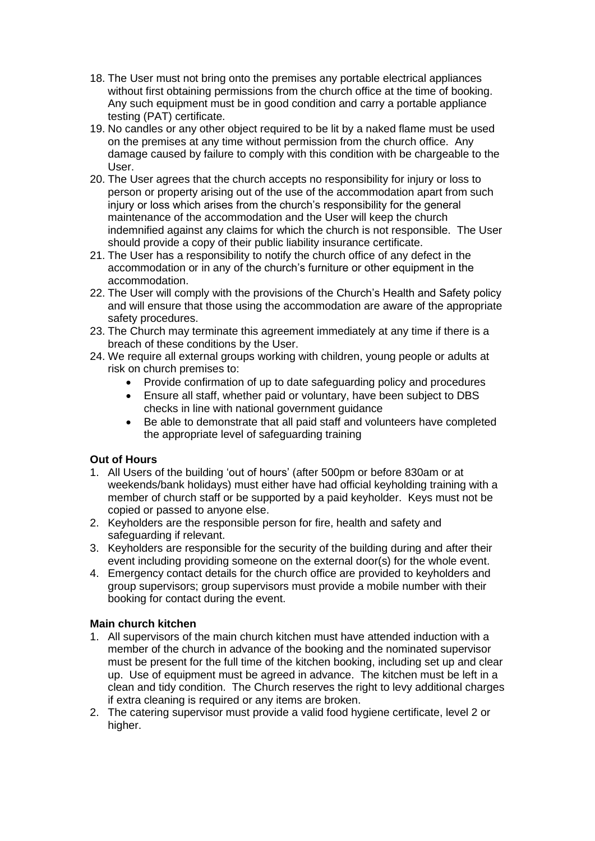- 18. The User must not bring onto the premises any portable electrical appliances without first obtaining permissions from the church office at the time of booking. Any such equipment must be in good condition and carry a portable appliance testing (PAT) certificate.
- 19. No candles or any other object required to be lit by a naked flame must be used on the premises at any time without permission from the church office. Any damage caused by failure to comply with this condition with be chargeable to the User.
- 20. The User agrees that the church accepts no responsibility for injury or loss to person or property arising out of the use of the accommodation apart from such injury or loss which arises from the church's responsibility for the general maintenance of the accommodation and the User will keep the church indemnified against any claims for which the church is not responsible. The User should provide a copy of their public liability insurance certificate.
- 21. The User has a responsibility to notify the church office of any defect in the accommodation or in any of the church's furniture or other equipment in the accommodation.
- 22. The User will comply with the provisions of the Church's Health and Safety policy and will ensure that those using the accommodation are aware of the appropriate safety procedures.
- 23. The Church may terminate this agreement immediately at any time if there is a breach of these conditions by the User.
- 24. We require all external groups working with children, young people or adults at risk on church premises to:
	- Provide confirmation of up to date safeguarding policy and procedures
	- Ensure all staff, whether paid or voluntary, have been subject to DBS checks in line with national government guidance
	- Be able to demonstrate that all paid staff and volunteers have completed the appropriate level of safeguarding training

## **Out of Hours**

- 1. All Users of the building 'out of hours' (after 500pm or before 830am or at weekends/bank holidays) must either have had official keyholding training with a member of church staff or be supported by a paid keyholder. Keys must not be copied or passed to anyone else.
- 2. Keyholders are the responsible person for fire, health and safety and safeguarding if relevant.
- 3. Keyholders are responsible for the security of the building during and after their event including providing someone on the external door(s) for the whole event.
- 4. Emergency contact details for the church office are provided to keyholders and group supervisors; group supervisors must provide a mobile number with their booking for contact during the event.

### **Main church kitchen**

- 1. All supervisors of the main church kitchen must have attended induction with a member of the church in advance of the booking and the nominated supervisor must be present for the full time of the kitchen booking, including set up and clear up. Use of equipment must be agreed in advance. The kitchen must be left in a clean and tidy condition. The Church reserves the right to levy additional charges if extra cleaning is required or any items are broken.
- 2. The catering supervisor must provide a valid food hygiene certificate, level 2 or higher.